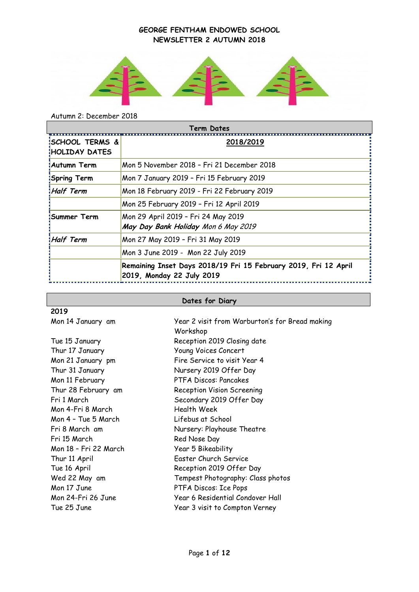

# Autumn 2: December 2018

| <b>Term Dates</b>                                  |                                                                                              |  |  |
|----------------------------------------------------|----------------------------------------------------------------------------------------------|--|--|
| <b>ISCHOOL TERMS &amp;</b><br><b>HOLIDAY DATES</b> | 2018/2019                                                                                    |  |  |
| <b>Autumn Term</b>                                 | Mon 5 November 2018 - Fri 21 December 2018                                                   |  |  |
| Spring Term                                        | Mon 7 January 2019 - Fri 15 February 2019                                                    |  |  |
| Half Term                                          | Mon 18 February 2019 - Fri 22 February 2019                                                  |  |  |
|                                                    | Mon 25 February 2019 - Fri 12 April 2019                                                     |  |  |
| Summer Term!                                       | Mon 29 April 2019 - Fri 24 May 2019<br>May Day Bank Holiday Mon 6 May 2019                   |  |  |
| <b>Half Term</b>                                   | Mon 27 May 2019 - Fri 31 May 2019                                                            |  |  |
|                                                    | Mon 3 June 2019 - Mon 22 July 2019                                                           |  |  |
|                                                    | Remaining Inset Days 2018/19 Fri 15 February 2019, Fri 12 April<br>2019, Monday 22 July 2019 |  |  |

# **Dates for Diary**

| 2019                  |                                                            |
|-----------------------|------------------------------------------------------------|
| Mon 14 January am     | Year 2 visit from Warburton's for Bread making<br>Workshop |
| Tue 15 January        | Reception 2019 Closing date                                |
| Thur 17 January       | Young Voices Concert                                       |
| Mon 21 January pm     | Fire Service to visit Year 4                               |
| Thur 31 January       | Nursery 2019 Offer Day                                     |
| Mon 11 February       | PTFA Discos: Pancakes                                      |
| Thur 28 February am   | <b>Reception Vision Screening</b>                          |
| Fri 1 March           | Secondary 2019 Offer Day                                   |
| Mon 4-Fri 8 March     | <b>Health Week</b>                                         |
| Mon 4 - Tue 5 March   | Lifebus at School                                          |
| Fri 8 March am        | Nursery: Playhouse Theatre                                 |
| Fri 15 March          | Red Nose Day                                               |
| Mon 18 - Fri 22 March | Year 5 Bikeability                                         |
| Thur 11 April         | Easter Church Service                                      |
| Tue 16 April          | Reception 2019 Offer Day                                   |
| Wed 22 May am         | Tempest Photography: Class photos                          |
| Mon 17 June           | PTFA Discos: Ice Pops                                      |
| Mon 24-Fri 26 June    | Year 6 Residential Condover Hall                           |
| Tue 25 June           | Year 3 visit to Compton Verney                             |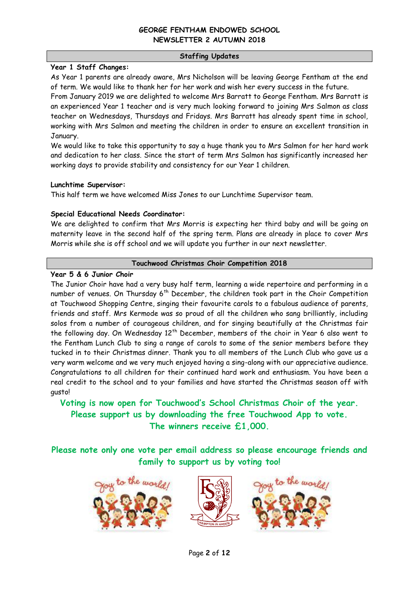#### **Staffing Updates**

#### **Year 1 Staff Changes:**

As Year 1 parents are already aware, Mrs Nicholson will be leaving George Fentham at the end of term. We would like to thank her for her work and wish her every success in the future.

From January 2019 we are delighted to welcome Mrs Barratt to George Fentham. Mrs Barratt is an experienced Year 1 teacher and is very much looking forward to joining Mrs Salmon as class teacher on Wednesdays, Thursdays and Fridays. Mrs Barratt has already spent time in school, working with Mrs Salmon and meeting the children in order to ensure an excellent transition in January.

We would like to take this opportunity to say a huge thank you to Mrs Salmon for her hard work and dedication to her class. Since the start of term Mrs Salmon has significantly increased her working days to provide stability and consistency for our Year 1 children.

## **Lunchtime Supervisor:**

This half term we have welcomed Miss Jones to our Lunchtime Supervisor team.

## **Special Educational Needs Coordinator:**

We are delighted to confirm that Mrs Morris is expecting her third baby and will be going on maternity leave in the second half of the spring term. Plans are already in place to cover Mrs Morris while she is off school and we will update you further in our next newsletter.

#### **Touchwood Christmas Choir Competition 2018**

## **Year 5 & 6 Junior Choir**

The Junior Choir have had a very busy half term, learning a wide repertoire and performing in a number of venues. On Thursday  $6<sup>th</sup>$  December, the children took part in the Choir Competition at Touchwood Shopping Centre, singing their favourite carols to a fabulous audience of parents, friends and staff. Mrs Kermode was so proud of all the children who sang brilliantly, including solos from a number of courageous children, and for singing beautifully at the Christmas fair the following day. On Wednesday  $12<sup>th</sup>$  December, members of the choir in Year 6 also went to the Fentham Lunch Club to sing a range of carols to some of the senior members before they tucked in to their Christmas dinner. Thank you to all members of the Lunch Club who gave us a very warm welcome and we very much enjoyed having a sing-along with our appreciative audience. Congratulations to all children for their continued hard work and enthusiasm. You have been a real credit to the school and to your families and have started the Christmas season off with gusto!

**Voting is now open for Touchwood's School Christmas Choir of the year. Please support us by downloading the free Touchwood App to vote. The winners receive £1,000.**

**Please note only one vote per email address so please encourage friends and family to support us by voting too!**





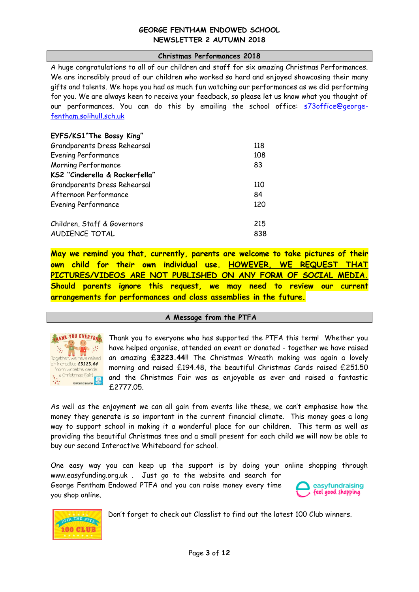#### **Christmas Performances 2018**

A huge congratulations to all of our children and staff for six amazing Christmas Performances. We are incredibly proud of our children who worked so hard and enjoyed showcasing their many gifts and talents. We hope you had as much fun watching our performances as we did performing for you. We are always keen to receive your feedback, so please let us know what you thought of our performances. You can do this by emailing the school office: [s73office@george](mailto:s73office@george-fentham.solihull.sch.uk)[fentham.solihull.sch.uk](mailto:s73office@george-fentham.solihull.sch.uk)

| EYFS/KS1"The Bossy King"       |     |
|--------------------------------|-----|
| Grandparents Dress Rehearsal   | 118 |
| <b>Evening Performance</b>     | 108 |
| Morning Performance            | 83  |
| KS2 "Cinderella & Rockerfella" |     |
| Grandparents Dress Rehearsal   | 110 |
| Afternoon Performance          | 84  |
| Evening Performance            | 120 |
| Children, Staff & Governors    | 215 |
| AUDIENCE TOTAL                 | 838 |

**May we remind you that, currently, parents are welcome to take pictures of their own child for their own individual use. HOWEVER, WE REQUEST THAT PICTURES/VIDEOS ARE NOT PUBLISHED ON ANY FORM OF SOCIAL MEDIA. Should parents ignore this request, we may need to review our current arrangements for performances and class assemblies in the future.**

#### **A Message from the PTFA**



Thank you to everyone who has supported the PTFA this term! Whether you have helped organise, attended an event or donated - together we have raised an amazing **£3223.44**!! The Christmas Wreath making was again a lovely morning and raised £194.48, the beautiful Christmas Cards raised £251.50 and the Christmas Fair was as enjoyable as ever and raised a fantastic £2777.05.

As well as the enjoyment we can all gain from events like these, we can't emphasise how the money they generate is so important in the current financial climate. This money goes a long way to support school in making it a wonderful place for our children. This term as well as providing the beautiful Christmas tree and a small present for each child we will now be able to buy our second Interactive Whiteboard for school.

One easy way you can keep up the support is by doing your online shopping through www.easyfunding.org.uk . Just go to the website and search for

George Fentham Endowed PTFA and you can raise money every time you shop online.





Don't forget to check out Classlist to find out the latest 100 Club winners.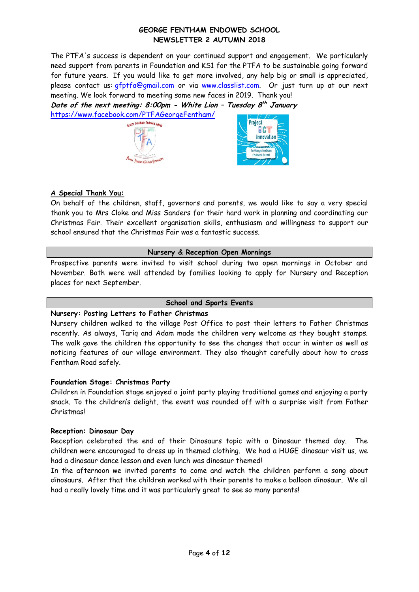The PTFA's success is dependent on your continued support and engagement. We particularly need support from parents in Foundation and KS1 for the PTFA to be sustainable going forward for future years. If you would like to get more involved, any help big or small is appreciated, please contact us: [gfptfa@gmail.com](mailto:gfptfa@gmail.com) or via [www.classlist.com.](http://www.classlist.com/) Or just turn up at our next meeting. We look forward to meeting some new faces in 2019. Thank you!

**Date of the next meeting: 8:00pm - White Lion – Tuesday 8 th January**  <https://www.facebook.com/PTFAGeorgeFentham/>





## **A Special Thank You:**

On behalf of the children, staff, governors and parents, we would like to say a very special thank you to Mrs Cloke and Miss Sanders for their hard work in planning and coordinating our Christmas Fair. Their excellent organisation skills, enthusiasm and willingness to support our school ensured that the Christmas Fair was a fantastic success.

#### **Nursery & Reception Open Mornings**

Prospective parents were invited to visit school during two open mornings in October and November. Both were well attended by families looking to apply for Nursery and Reception places for next September.

#### **School and Sports Events**

## **Nursery: Posting Letters to Father Christmas**

Nursery children walked to the village Post Office to post their letters to Father Christmas recently. As always, Tariq and Adam made the children very welcome as they bought stamps. The walk gave the children the opportunity to see the changes that occur in winter as well as noticing features of our village environment. They also thought carefully about how to cross Fentham Road safely.

## **Foundation Stage: Christmas Party**

Children in Foundation stage enjoyed a joint party playing traditional games and enjoying a party snack. To the children's delight, the event was rounded off with a surprise visit from Father Christmas!

## **Reception: Dinosaur Day**

Reception celebrated the end of their Dinosaurs topic with a Dinosaur themed day. The children were encouraged to dress up in themed clothing. We had a HUGE dinosaur visit us, we had a dinosaur dance lesson and even lunch was dinosaur themed!

In the afternoon we invited parents to come and watch the children perform a song about dinosaurs. After that the children worked with their parents to make a balloon dinosaur. We all had a really lovely time and it was particularly great to see so many parents!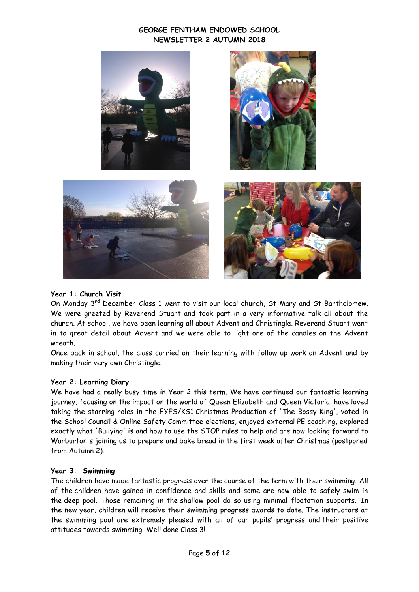

## **Year 1: Church Visit**

On Monday 3<sup>rd</sup> December Class 1 went to visit our local church, St Mary and St Bartholomew. We were greeted by Reverend Stuart and took part in a very informative talk all about the church. At school, we have been learning all about Advent and Christingle. Reverend Stuart went in to great detail about Advent and we were able to light one of the candles on the Advent wreath.

Once back in school, the class carried on their learning with follow up work on Advent and by making their very own Christingle.

#### **Year 2: Learning Diary**

We have had a really busy time in Year 2 this term. We have continued our fantastic learning journey, focusing on the impact on the world of Queen Elizabeth and Queen Victoria, have loved taking the starring roles in the EYFS/KS1 Christmas Production of 'The Bossy King', voted in the School Council & Online Safety Committee elections, enjoyed external PE coaching, explored exactly what 'Bullying' is and how to use the STOP rules to help and are now looking forward to Warburton's joining us to prepare and bake bread in the first week after Christmas (postponed from Autumn 2).

#### **Year 3: Swimming**

The children have made fantastic progress over the course of the term with their swimming. All of the children have gained in confidence and skills and some are now able to safely swim in the deep pool. Those remaining in the shallow pool do so using minimal floatation supports. In the new year, children will receive their swimming progress awards to date. The instructors at the swimming pool are extremely pleased with all of our pupils' progress and their positive attitudes towards swimming. Well done Class 3!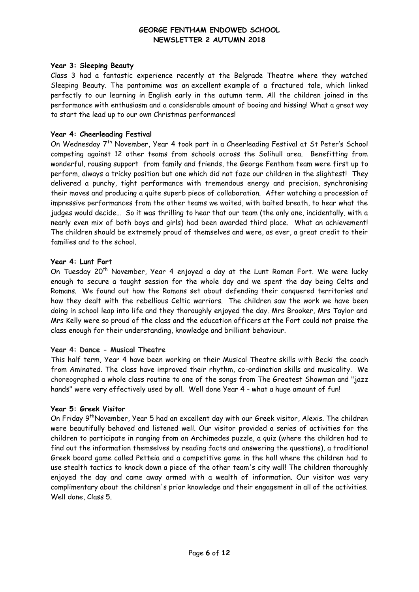#### **Year 3: Sleeping Beauty**

Class 3 had a fantastic experience recently at the Belgrade Theatre where they watched Sleeping Beauty. The pantomime was an excellent example of a fractured tale, which linked perfectly to our learning in English early in the autumn term. All the children joined in the performance with enthusiasm and a considerable amount of booing and hissing! What a great way to start the lead up to our own Christmas performances!

#### **Year 4: Cheerleading Festival**

On Wednesday 7th November, Year 4 took part in a Cheerleading Festival at St Peter's School competing against 12 other teams from schools across the Solihull area. Benefitting from wonderful, rousing support from family and friends, the George Fentham team were first up to perform, always a tricky position but one which did not faze our children in the slightest! They delivered a punchy, tight performance with tremendous energy and precision, synchronising their moves and producing a quite superb piece of collaboration. After watching a procession of impressive performances from the other teams we waited, with baited breath, to hear what the judges would decide… So it was thrilling to hear that our team (the only one, incidentally, with a nearly even mix of both boys and girls) had been awarded third place. What an achievement! The children should be extremely proud of themselves and were, as ever, a great credit to their families and to the school.

#### **Year 4: Lunt Fort**

On Tuesday 20<sup>th</sup> November, Year 4 enjoyed a day at the Lunt Roman Fort. We were lucky enough to secure a taught session for the whole day and we spent the day being Celts and Romans. We found out how the Romans set about defending their conquered territories and how they dealt with the rebellious Celtic warriors. The children saw the work we have been doing in school leap into life and they thoroughly enjoyed the day. Mrs Brooker, Mrs Taylor and Mrs Kelly were so proud of the class and the education officers at the Fort could not praise the class enough for their understanding, knowledge and brilliant behaviour.

#### **Year 4: Dance - Musical Theatre**

This half term, Year 4 have been working on their Musical Theatre skills with Becki the coach from Aminated. The class have improved their rhythm, co-ordination skills and musicality. We choreographed a whole class routine to one of the songs from The Greatest Showman and "jazz hands" were very effectively used by all. Well done Year 4 - what a huge amount of fun!

#### **Year 5: Greek Visitor**

On Friday 9<sup>th</sup>November, Year 5 had an excellent day with our Greek visitor, Alexis. The children were beautifully behaved and listened well. Our visitor provided a series of activities for the children to participate in ranging from an Archimedes puzzle, a quiz (where the children had to find out the information themselves by reading facts and answering the questions), a traditional Greek board game called Petteia and a competitive game in the hall where the children had to use stealth tactics to knock down a piece of the other team's city wall! The children thoroughly enjoyed the day and came away armed with a wealth of information. Our visitor was very complimentary about the children's prior knowledge and their engagement in all of the activities. Well done, Class 5.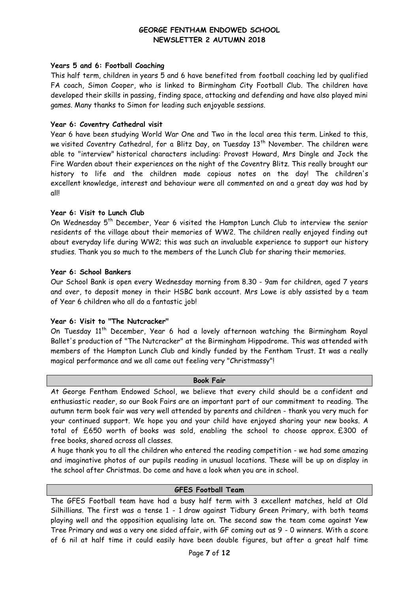#### **Years 5 and 6: Football Coaching**

This half term, children in years 5 and 6 have benefited from football coaching led by qualified FA coach, Simon Cooper, who is linked to Birmingham City Football Club. The children have developed their skills in passing, finding space, attacking and defending and have also played mini games. Many thanks to Simon for leading such enjoyable sessions.

#### **Year 6: Coventry Cathedral visit**

Year 6 have been studying World War One and Two in the local area this term. Linked to this, we visited Coventry Cathedral, for a Blitz Day, on Tuesday  $13<sup>th</sup>$  November. The children were able to "interview" historical characters including: Provost Howard, Mrs Dingle and Jock the Fire Warden about their experiences on the night of the Coventry Blitz. This really brought our history to life and the children made copious notes on the day! The children's excellent knowledge, interest and behaviour were all commented on and a great day was had by all!

## **Year 6: Visit to Lunch Club**

On Wednesday 5<sup>th</sup> December, Year 6 visited the Hampton Lunch Club to interview the senior residents of the village about their memories of WW2. The children really enjoyed finding out about everyday life during WW2; this was such an invaluable experience to support our history studies. Thank you so much to the members of the Lunch Club for sharing their memories.

#### **Year 6: School Bankers**

Our School Bank is open every Wednesday morning from 8.30 - 9am for children, aged 7 years and over, to deposit money in their HSBC bank account. Mrs Lowe is ably assisted by a team of Year 6 children who all do a fantastic job!

## **Year 6: Visit to "The Nutcracker"**

On Tuesday 11<sup>th</sup> December, Year 6 had a lovely afternoon watching the Birmingham Royal Ballet's production of "The Nutcracker" at the Birmingham Hippodrome. This was attended with members of the Hampton Lunch Club and kindly funded by the Fentham Trust. It was a really magical performance and we all came out feeling very "Christmassy"!

#### **Book Fair**

At George Fentham Endowed School, we believe that every child should be a confident and enthusiastic reader, so our Book Fairs are an important part of our commitment to reading. The autumn term book fair was very well attended by parents and children - thank you very much for your continued support. We hope you and your child have enjoyed sharing your new books. A total of £650 worth of books was sold, enabling the school to choose approx. £300 of free books, shared across all classes.

A huge thank you to all the children who entered the reading competition - we had some amazing and imaginative photos of our pupils reading in unusual locations. These will be up on display in the school after Christmas. Do come and have a look when you are in school.

## **GFES Football Team**

The GFES Football team have had a busy half term with 3 excellent matches, held at Old Silhillians. The first was a tense 1 - 1 draw against Tidbury Green Primary, with both teams playing well and the opposition equalising late on. The second saw the team come against Yew Tree Primary and was a very one sided affair, with GF coming out as 9 - 0 winners. With a score of 6 nil at half time it could easily have been double figures, but after a great half time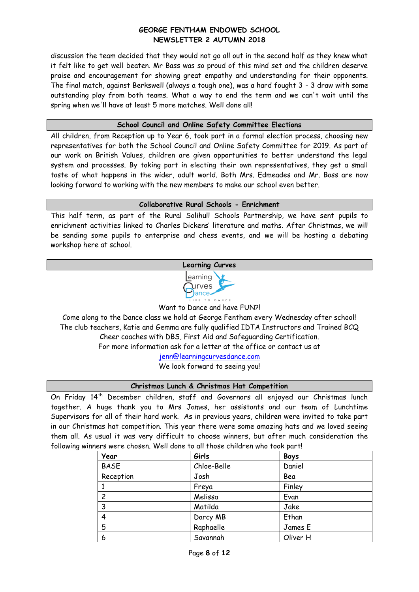discussion the team decided that they would not go all out in the second half as they knew what it felt like to get well beaten. Mr Bass was so proud of this mind set and the children deserve praise and encouragement for showing great empathy and understanding for their opponents. The final match, against Berkswell (always a tough one), was a hard fought 3 - 3 draw with some outstanding play from both teams. What a way to end the term and we can't wait until the spring when we'll have at least 5 more matches. Well done all!

## **School Council and Online Safety Committee Elections**

All children, from Reception up to Year 6, took part in a formal election process, choosing new representatives for both the School Council and Online Safety Committee for 2019. As part of our work on British Values, children are given opportunities to better understand the legal system and processes. By taking part in electing their own representatives, they get a small taste of what happens in the wider, adult world. Both Mrs. Edmeades and Mr. Bass are now looking forward to working with the new members to make our school even better.

#### **Collaborative Rural Schools - Enrichment**

This half term, as part of the Rural Solihull Schools Partnership, we have sent pupils to enrichment activities linked to Charles Dickens' literature and maths. After Christmas, we will be sending some pupils to enterprise and chess events, and we will be hosting a debating workshop here at school.

# **Learning Curves**



Want to Dance and have FUN?!

Come along to the Dance class we hold at George Fentham every Wednesday after school! The club teachers, Katie and Gemma are fully qualified IDTA Instructors and Trained BCQ Cheer coaches with DBS, First Aid and Safeguarding Certification. For more information ask for a letter at the office or contact us at

[jenn@learningcurvesdance.com](mailto:jenn@learningcurvesdance.com) We look forward to seeing you!

## **Christmas Lunch & Christmas Hat Competition**

On Friday 14<sup>th</sup> December children, staff and Governors all enjoyed our Christmas lunch together. A huge thank you to Mrs James, her assistants and our team of Lunchtime Supervisors for all of their hard work. As in previous years, children were invited to take part in our Christmas hat competition. This year there were some amazing hats and we loved seeing them all. As usual it was very difficult to choose winners, but after much consideration the following winners were chosen. Well done to all those children who took part!

| Year        | Girls       | <b>Boys</b> |
|-------------|-------------|-------------|
| <b>BASE</b> | Chloe-Belle | Daniel      |
| Reception   | Josh        | Bea         |
|             | Freya       | Finley      |
| 2           | Melissa     | Evan        |
| 3           | Matilda     | Jake        |
| 4           | Darcy MB    | Ethan       |
| 5           | Raphaelle   | James E     |
| 6           | Savannah    | Oliver H    |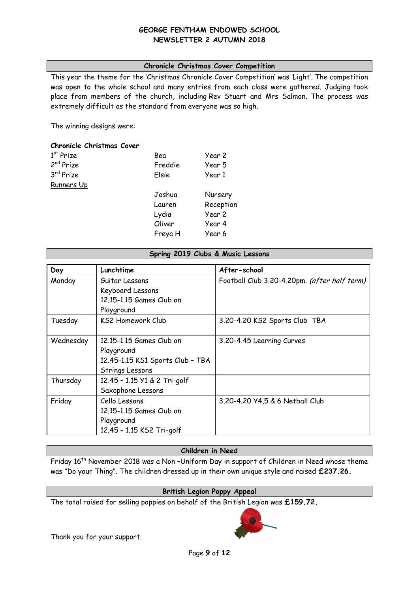## **Chronicle Christmas Cover Competition**

This year the theme for the 'Christmas Chronicle Cover Competition' was 'Light'. The competition was open to the whole school and many entries from each class were gathered. Judging took place from members of the church, including Rev Stuart and Mrs Salmon. The process was extremely difficult as the standard from everyone was so high.

The winning designs were:

## **Chronicle Christmas Cover**

| $1st$ Prize           | Bea     | Year 2    |
|-----------------------|---------|-----------|
| 2 <sup>nd</sup> Prize | Freddie | Year 5    |
| 3rd Prize             | Elsie   | Year 1    |
| Runners Up            |         |           |
|                       | Joshua  | Nursery   |
|                       | Lauren  | Reception |
|                       | Lydia   | Year 2    |
|                       | Oliver  | Year 4    |
|                       | Freya H | Year 6    |

#### **Spring 2019 Clubs & Music Lessons**

| Day       | Lunchtime                        | After-school                                 |
|-----------|----------------------------------|----------------------------------------------|
| Monday    | Guitar Lessons                   | Football Club 3.20-4.20pm. (after half term) |
|           | Keyboard Lessons                 |                                              |
|           | 12.15-1.15 Games Club on         |                                              |
|           | Playground                       |                                              |
| Tuesday   | <b>KS2 Homework Club</b>         | 3.20-4.20 KS2 Sports Club TBA                |
|           |                                  |                                              |
| Wednesday | 12.15-1.15 Games Club on         | 3.20-4.45 Learning Curves                    |
|           | Playground                       |                                              |
|           | 12.45-1.15 KS1 Sports Club - TBA |                                              |
|           | Strings Lessons                  |                                              |
| Thursday  | 12.45 - 1.15 Y1 & 2 Tri-golf     |                                              |
|           | Saxophone Lessons                |                                              |
| Friday    | Cello Lessons                    | 3.20-4.20 Y4,5 & 6 Netball Club              |
|           | 12.15-1.15 Games Club on         |                                              |
|           | Playground                       |                                              |
|           | 12.45 - 1.15 KS2 Tri-golf        |                                              |

#### **Children in Need**

Friday 16<sup>th</sup> November 2018 was a Non-Uniform Day in support of Children in Need whose theme was "Do your Thing". The children dressed up in their own unique style and raised **£237.26.**

## **British Legion Poppy Appeal**

The total raised for selling poppies on behalf of the British Legion was **£159.72.**

Thank you for your support.

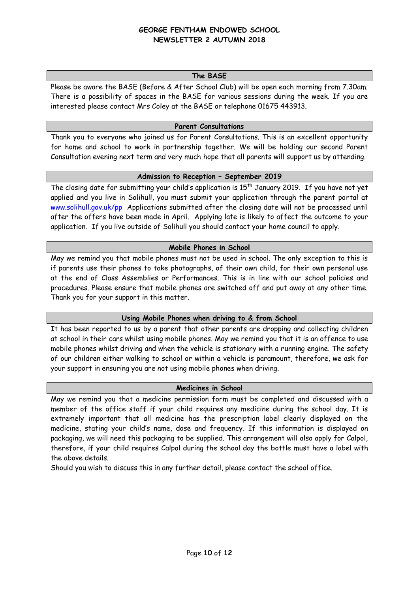#### **The BASE**

Please be aware the BASE (Before & After School Club) will be open each morning from 7.30am. There is a possibility of spaces in the BASE for various sessions during the week. If you are interested please contact Mrs Coley at the BASE or telephone 01675 443913.

#### **Parent Consultations**

Thank you to everyone who joined us for Parent Consultations. This is an excellent opportunity for home and school to work in partnership together. We will be holding our second Parent Consultation evening next term and very much hope that all parents will support us by attending.

#### **Admission to Reception – September 2019**

The closing date for submitting your child's application is 15<sup>th</sup> January 2019. If you have not yet applied and you live in Solihull, you must submit your application through the parent portal at [www.solihull.gov.uk/pp](http://www.solihull.gov.uk/pp) Applications submitted after the closing date will not be processed until after the offers have been made in April. Applying late is likely to affect the outcome to your application. If you live outside of Solihull you should contact your home council to apply.

## **Mobile Phones in School**

May we remind you that mobile phones must not be used in school. The only exception to this is if parents use their phones to take photographs, of their own child, for their own personal use at the end of Class Assemblies or Performances. This is in line with our school policies and procedures. Please ensure that mobile phones are switched off and put away at any other time. Thank you for your support in this matter.

## **Using Mobile Phones when driving to & from School**

It has been reported to us by a parent that other parents are dropping and collecting children at school in their cars whilst using mobile phones. May we remind you that it is an offence to use mobile phones whilst driving and when the vehicle is stationary with a running engine. The safety of our children either walking to school or within a vehicle is paramount, therefore, we ask for your support in ensuring you are not using mobile phones when driving.

#### **Medicines in School**

May we remind you that a medicine permission form must be completed and discussed with a member of the office staff if your child requires any medicine during the school day. It is extremely important that all medicine has the prescription label clearly displayed on the medicine, stating your child's name, dose and frequency. If this information is displayed on packaging, we will need this packaging to be supplied. This arrangement will also apply for Calpol, therefore, if your child requires Calpol during the school day the bottle must have a label with the above details.

Should you wish to discuss this in any further detail, please contact the school office.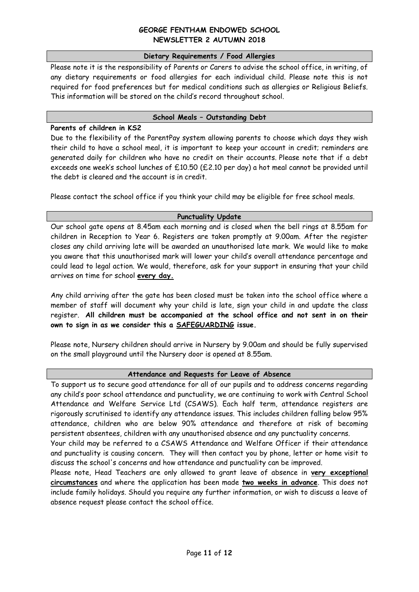#### **Dietary Requirements / Food Allergies**

Please note it is the responsibility of Parents or Carers to advise the school office, in writing, of any dietary requirements or food allergies for each individual child. Please note this is not required for food preferences but for medical conditions such as allergies or Religious Beliefs. This information will be stored on the child's record throughout school.

#### **School Meals – Outstanding Debt**

#### **Parents of children in KS2**

Due to the flexibility of the ParentPay system allowing parents to choose which days they wish their child to have a school meal, it is important to keep your account in credit; reminders are generated daily for children who have no credit on their accounts. Please note that if a debt exceeds one week's school lunches of £10.50 (£2.10 per day) a hot meal cannot be provided until the debt is cleared and the account is in credit.

Please contact the school office if you think your child may be eligible for free school meals.

#### **Punctuality Update**

Our school gate opens at 8.45am each morning and is closed when the bell rings at 8.55am for children in Reception to Year 6. Registers are taken promptly at 9.00am. After the register closes any child arriving late will be awarded an unauthorised late mark. We would like to make you aware that this unauthorised mark will lower your child's overall attendance percentage and could lead to legal action. We would, therefore, ask for your support in ensuring that your child arrives on time for school **every day.**

Any child arriving after the gate has been closed must be taken into the school office where a member of staff will document why your child is late, sign your child in and update the class register. **All children must be accompanied at the school office and not sent in on their own to sign in as we consider this a SAFEGUARDING issue.** 

Please note, Nursery children should arrive in Nursery by 9.00am and should be fully supervised on the small playground until the Nursery door is opened at 8.55am.

## **Attendance and Requests for Leave of Absence**

To support us to secure good attendance for all of our pupils and to address concerns regarding any child's poor school attendance and punctuality, we are continuing to work with Central School Attendance and Welfare Service Ltd (CSAWS). Each half term, attendance registers are rigorously scrutinised to identify any attendance issues. This includes children falling below 95% attendance, children who are below 90% attendance and therefore at risk of becoming persistent absentees, children with any unauthorised absence and any punctuality concerns.

Your child may be referred to a CSAWS Attendance and Welfare Officer if their attendance and punctuality is causing concern. They will then contact you by phone, letter or home visit to discuss the school's concerns and how attendance and punctuality can be improved.

Please note, Head Teachers are only allowed to grant leave of absence in **very exceptional circumstances** and where the application has been made **two weeks in advance**. This does not include family holidays. Should you require any further information, or wish to discuss a leave of absence request please contact the school office.